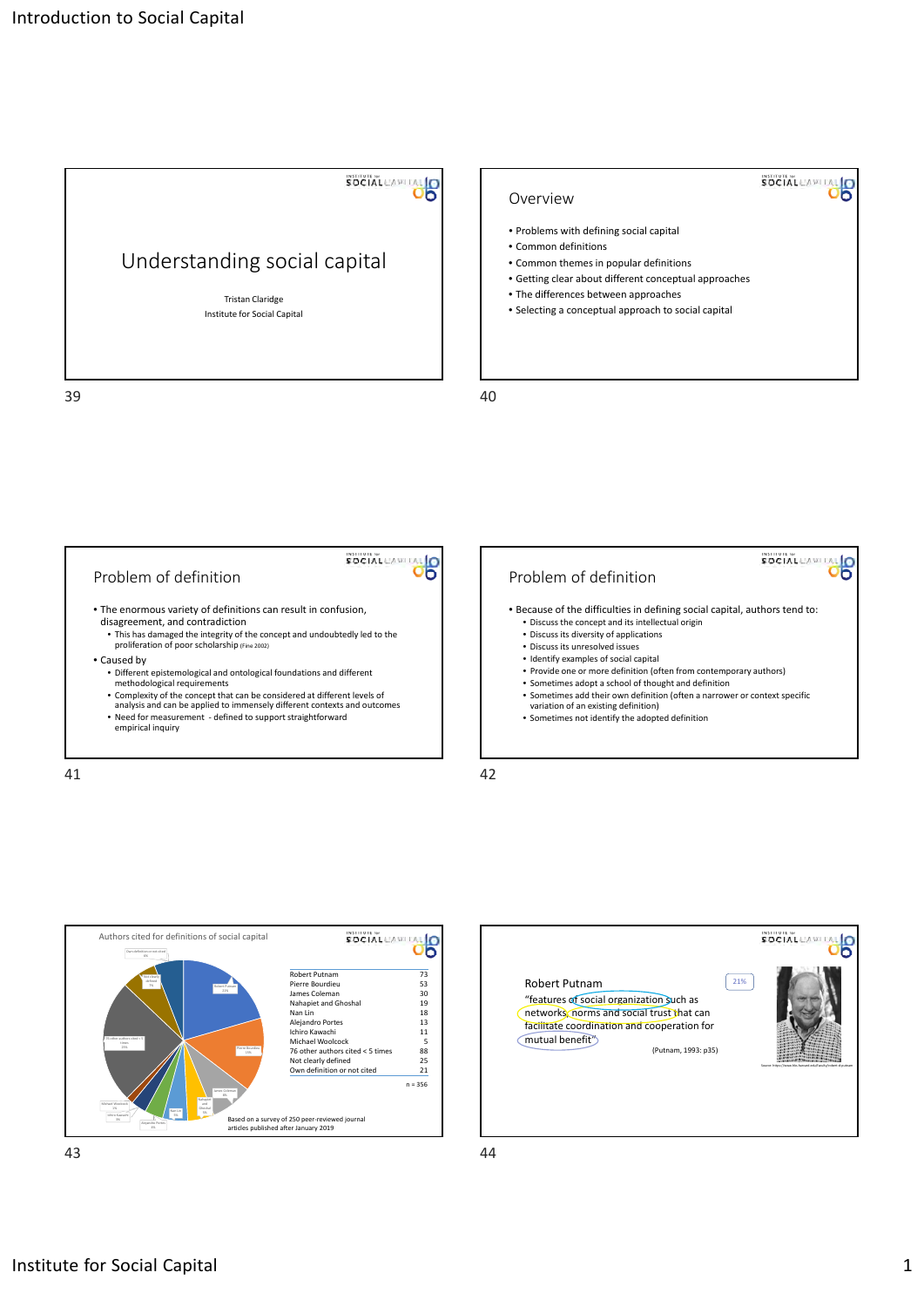

## SOCIAL CAPITAL Overview • Problems with defining social capital • Common definitions • Common themes in popular definitions • Getting clear about different conceptual approaches • The differences between approaches • Selecting a conceptual approach to social capital





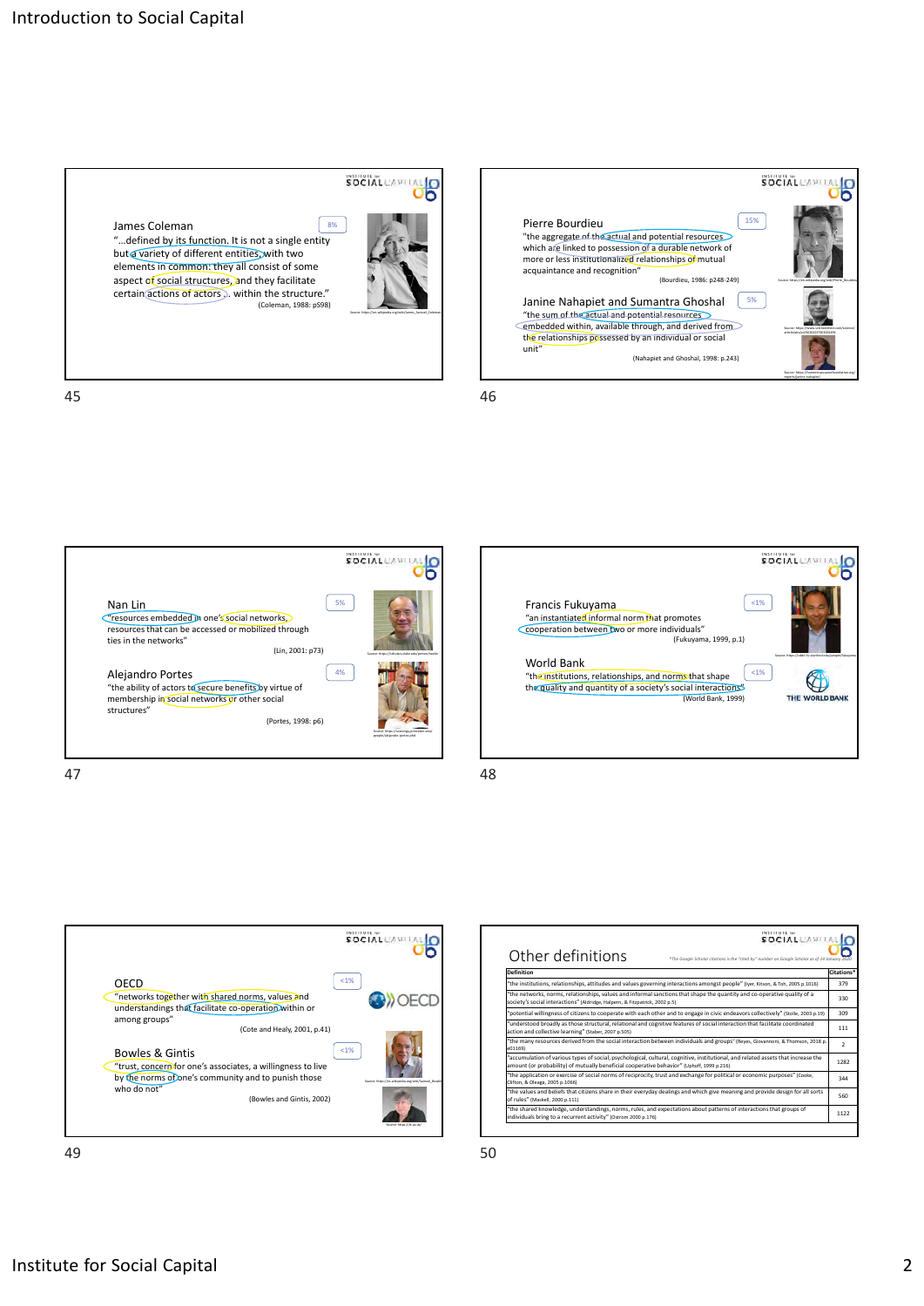

Source: https://en.wikipedia.org/wiki/James\_Samuel\_Coleman

SOCIAL CAPITAL



SOCIAL CAPITAL O  $\frac{1}{5}$ Francis Fukuyama "an instantiated informal norm that promotes cooperation between two or more individuals" (Fukuyama, 1999, p.1) World Bank  $1%$ "the institutions, relationships, and norms that shape<br>the quality and quantity of a society's social interactions"  $\mathbb{Q}$ THE WORLD BANK (World Bank, 1999)



| Other definitions                                                                                                                                                                                                              | *The Google Scholar citations is the "cited by" number on Google Scholar as of 14 January 2020 |
|--------------------------------------------------------------------------------------------------------------------------------------------------------------------------------------------------------------------------------|------------------------------------------------------------------------------------------------|
| Definition                                                                                                                                                                                                                     |                                                                                                |
| "the institutions, relationships, attitudes and values governing interactions amongst people" (Iver, Kitson, & Toh, 2005 p.1016)                                                                                               |                                                                                                |
| "the networks, norms, relationships, values and informal sanctions that shape the quantity and co-operative quality of a<br>society's social interactions" (Aldridge, Halpern, & Fitzpatrick, 2002 p.5)                        |                                                                                                |
| "potential willingness of citizens to cooperate with each other and to engage in civic endeavors collectively" (Stolle, 2003 p.19)                                                                                             |                                                                                                |
| "understood broadly as those structural, relational and cognitive features of social interaction that facilitate coordinated<br>action and collective learning" (Staber, 2007 p.505)                                           |                                                                                                |
| "the many resources derived from the social interaction between individuals and groups" (Reves, Giovannoni, & Thomson, 2018 p.<br>e01169)                                                                                      |                                                                                                |
| "accumulation of various types of social, psychological, cultural, cognitive, institutional, and related assets that increase the<br>amount (or probability) of mutually beneficial cooperative behavior" (Uphoff, 1999 p.216) |                                                                                                |
| "the application or exercise of social norms of reciprocity, trust and exchange for political or economic purposes" (Cooke,<br>Clifton, & Oleaga, 2005 p.1066)                                                                 |                                                                                                |
| "the values and beliefs that citizens share in their everyday dealings and which give meaning and provide design for all sorts<br>of rules" (Maskell, 2000 p.111)                                                              |                                                                                                |
| "the shared knowledge, understandings, norms, rules, and expectations about patterns of interactions that groups of<br>individuals bring to a recurrent activity" (Ostrom 2000 p.176)                                          |                                                                                                |

James Coleman "…defined by its function. It is not a single entity 8%

but a variety of different entities, with two elements in common: they all consist of some aspect of social structures, and they facilitate certain actions of actors ... within the structure."<br>Coleman, 1988: pS98)

45 46



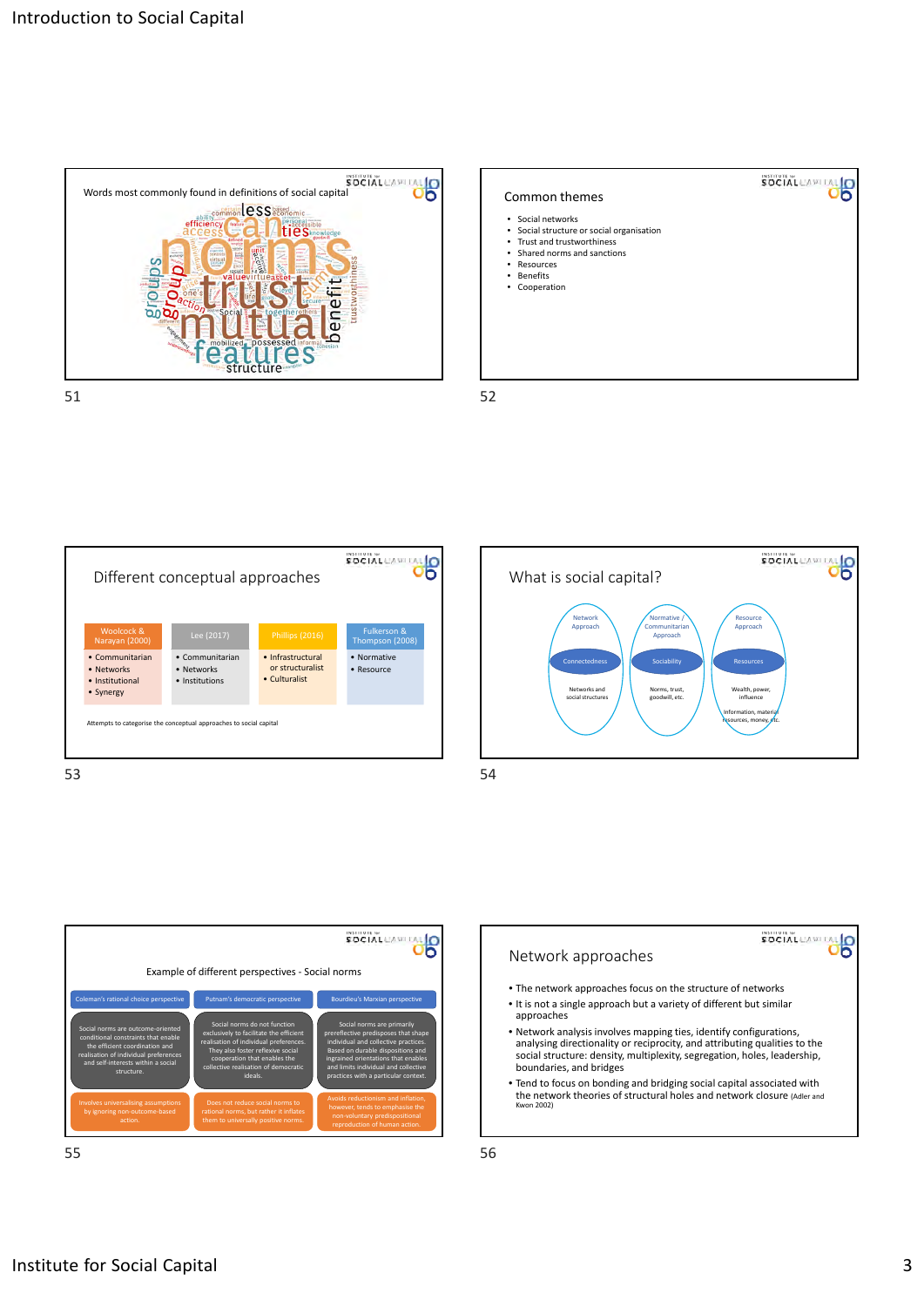









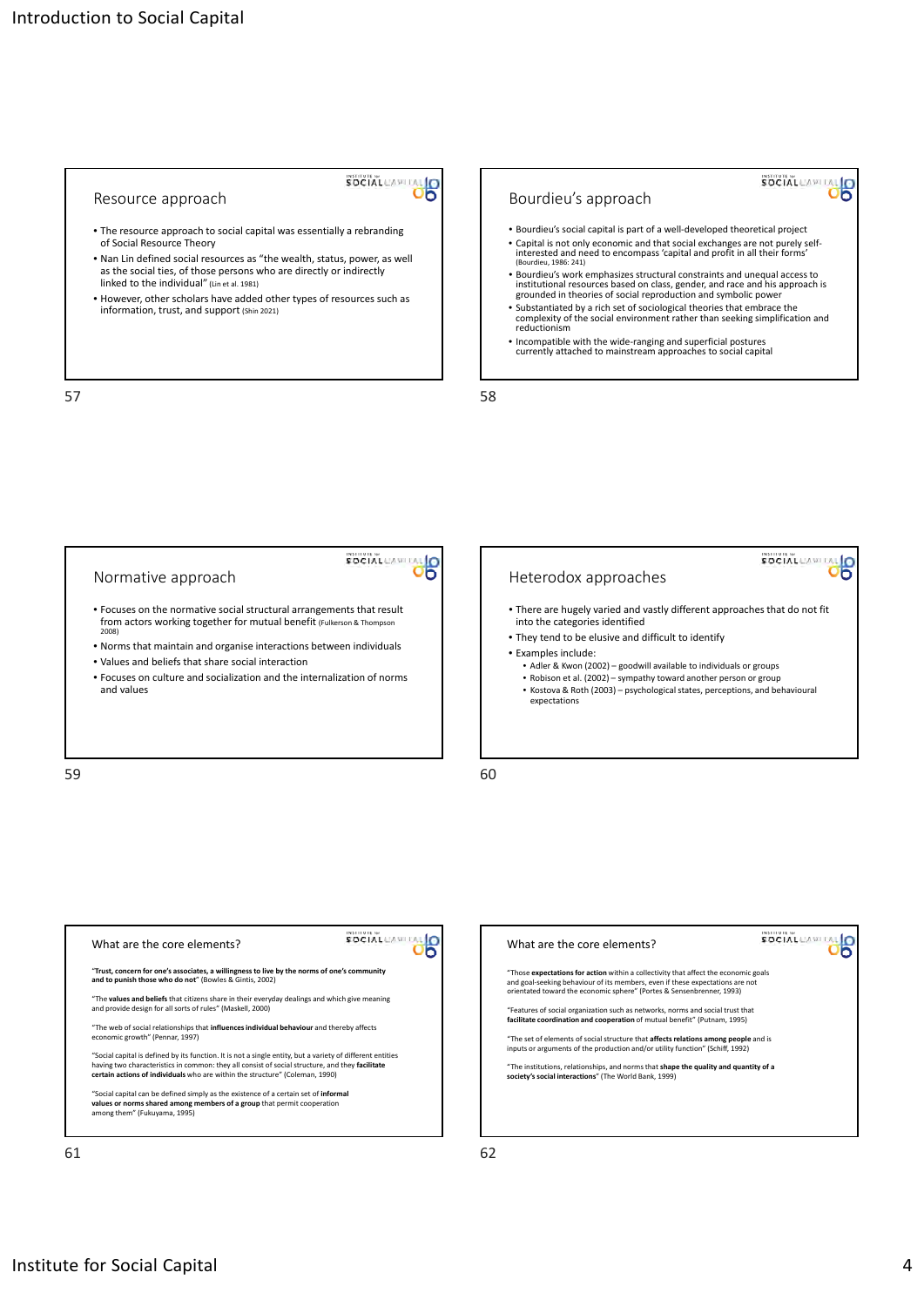

## Resource approach

- The resource approach to social capital was essentially a rebranding of Social Resource Theory
- Nan Lin defined social resources as "the wealth, status, power, as well as the social ties, of those persons who are directly or indirectly linked to the individual" (Lin et al. 1981)
- However, other scholars have added other types of resources such as information, trust, and support (Shin 2021)



- Substantiated by a rich set of sociological theories that embrace the complexity of the social environment rather than seeking simplification and reductionism
- Incompatible with the wide‐ranging and superficial postures currently attached to mainstream approaches to social capital

 $57$ 



| What are the core elements?                                                                                                                                                                                                                                                                   |
|-----------------------------------------------------------------------------------------------------------------------------------------------------------------------------------------------------------------------------------------------------------------------------------------------|
| "Trust, concern for one's associates, a willingness to live by the norms of one's community<br>and to punish those who do not" (Bowles & Gintis, 2002)                                                                                                                                        |
| "The values and beliefs that citizens share in their everyday dealings and which give meaning<br>and provide design for all sorts of rules" (Maskell, 2000)                                                                                                                                   |
| "The web of social relationships that influences individual behaviour and thereby affects<br>economic growth" (Pennar, 1997)                                                                                                                                                                  |
| "Social capital is defined by its function. It is not a single entity, but a variety of different entities<br>having two characteristics in common: they all consist of social structure, and they facilitate<br>certain actions of individuals who are within the structure" (Coleman, 1990) |
| "Social capital can be defined simply as the existence of a certain set of informal<br>values or norms shared among members of a group that permit cooperation<br>among them" (Fukuyama, 1995)                                                                                                |
|                                                                                                                                                                                                                                                                                               |

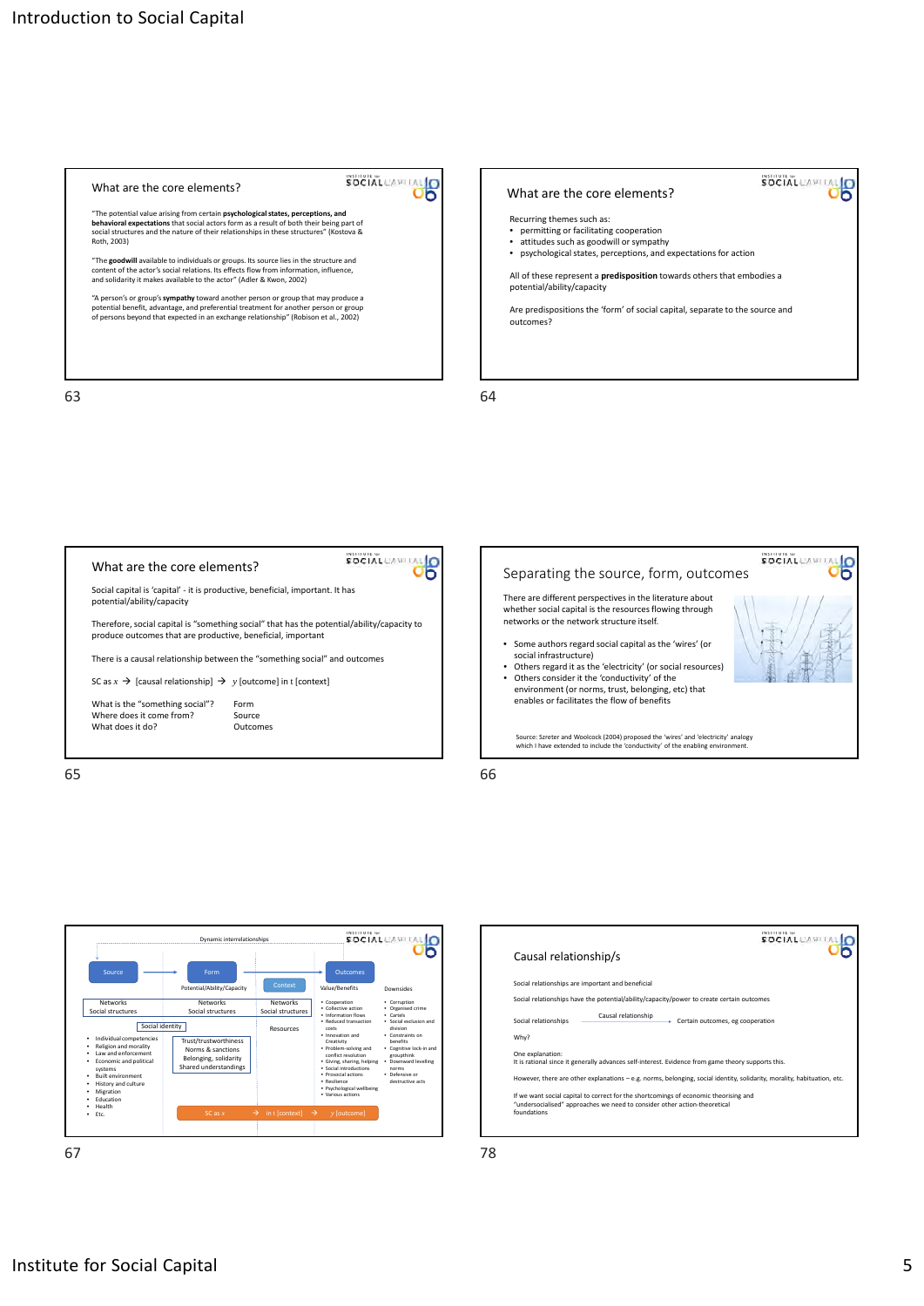







| Causal relationship/s                                                                                                                                                            | INSTITUTE for<br><b>SOCIAL</b> <sub>(A)</sub> |
|----------------------------------------------------------------------------------------------------------------------------------------------------------------------------------|-----------------------------------------------|
|                                                                                                                                                                                  |                                               |
| Social relationships are important and beneficial                                                                                                                                |                                               |
| Social relationships have the potential/ability/capacity/power to create certain outcomes                                                                                        |                                               |
| Causal relationship<br>Social relationships                                                                                                                                      | Certain outcomes, eg cooperation              |
| Why?                                                                                                                                                                             |                                               |
| One explanation:<br>It is rational since it generally advances self-interest. Evidence from game theory supports this.                                                           |                                               |
| However, there are other explanations - e.g. norms, belonging, social identity, solidarity, morality, habituation, etc.                                                          |                                               |
| If we want social capital to correct for the shortcomings of economic theorising and<br>"undersocialised" approaches we need to consider other action-theoretical<br>foundations |                                               |